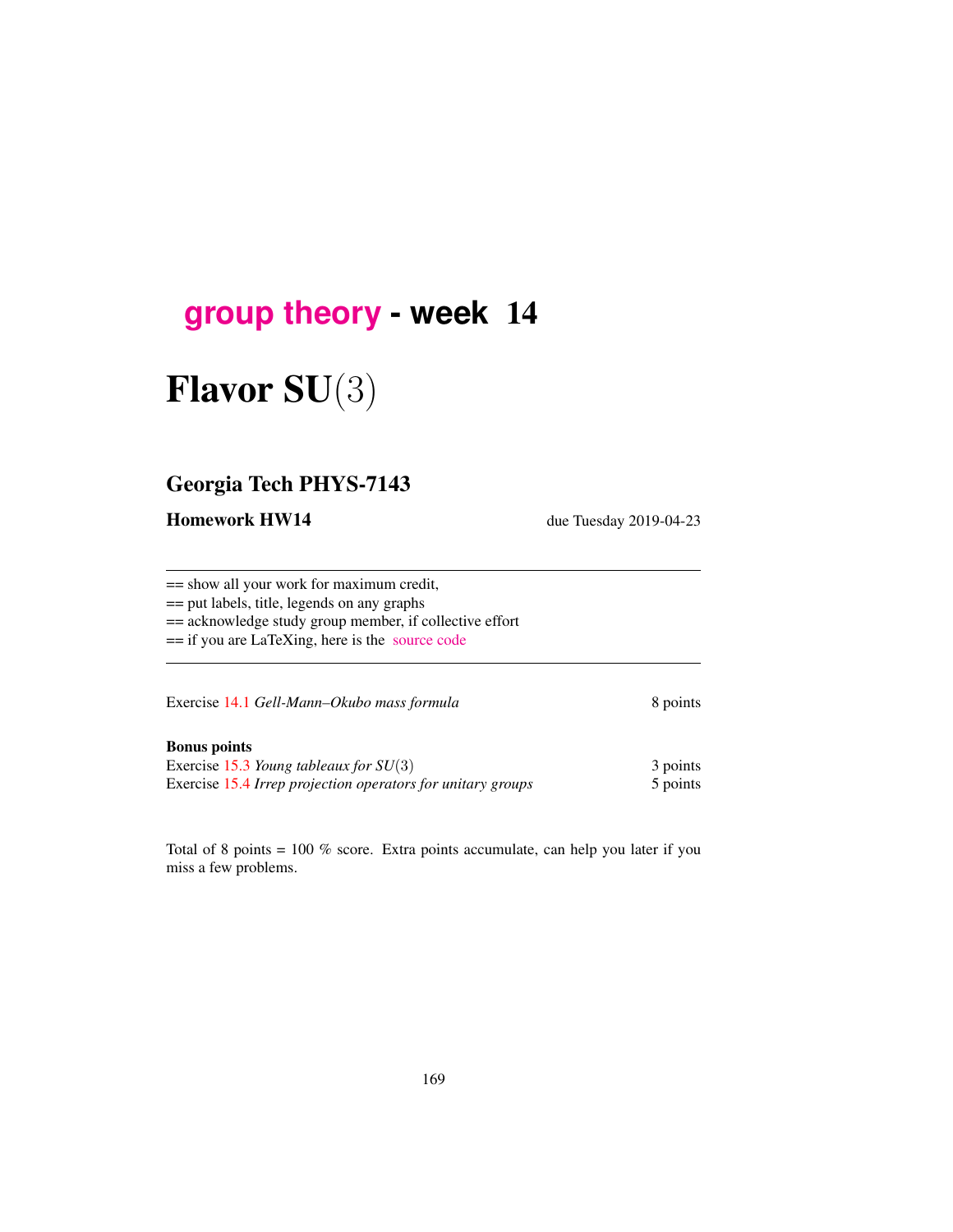## **[group theory](http://birdtracks.eu/courses/PHYS-7143-19/schedule.html) - week** 14

# Flavor SU(3)

## Georgia Tech PHYS-7143

Homework HW14 due Tuesday 2019-04-23

== show all your work for maximum credit,

== put labels, title, legends on any graphs

== acknowledge study group member, if collective effort

== if you are LaTeXing, here is the [source code](http://birdtracks.eu/courses/PHYS-7143-19/exerWeek14.tex)

Exercise 14.1 *Gell-Mann–Okubo mass formula* 8 points

#### Bonus points

Exercise 15.3 *Young tableaux for SU*(3) 3 points Exercise 15.4 *Irrep projection operators for unitary groups* 5 points

Total of 8 points  $= 100\%$  score. Extra points accumulate, can help you later if you miss a few problems.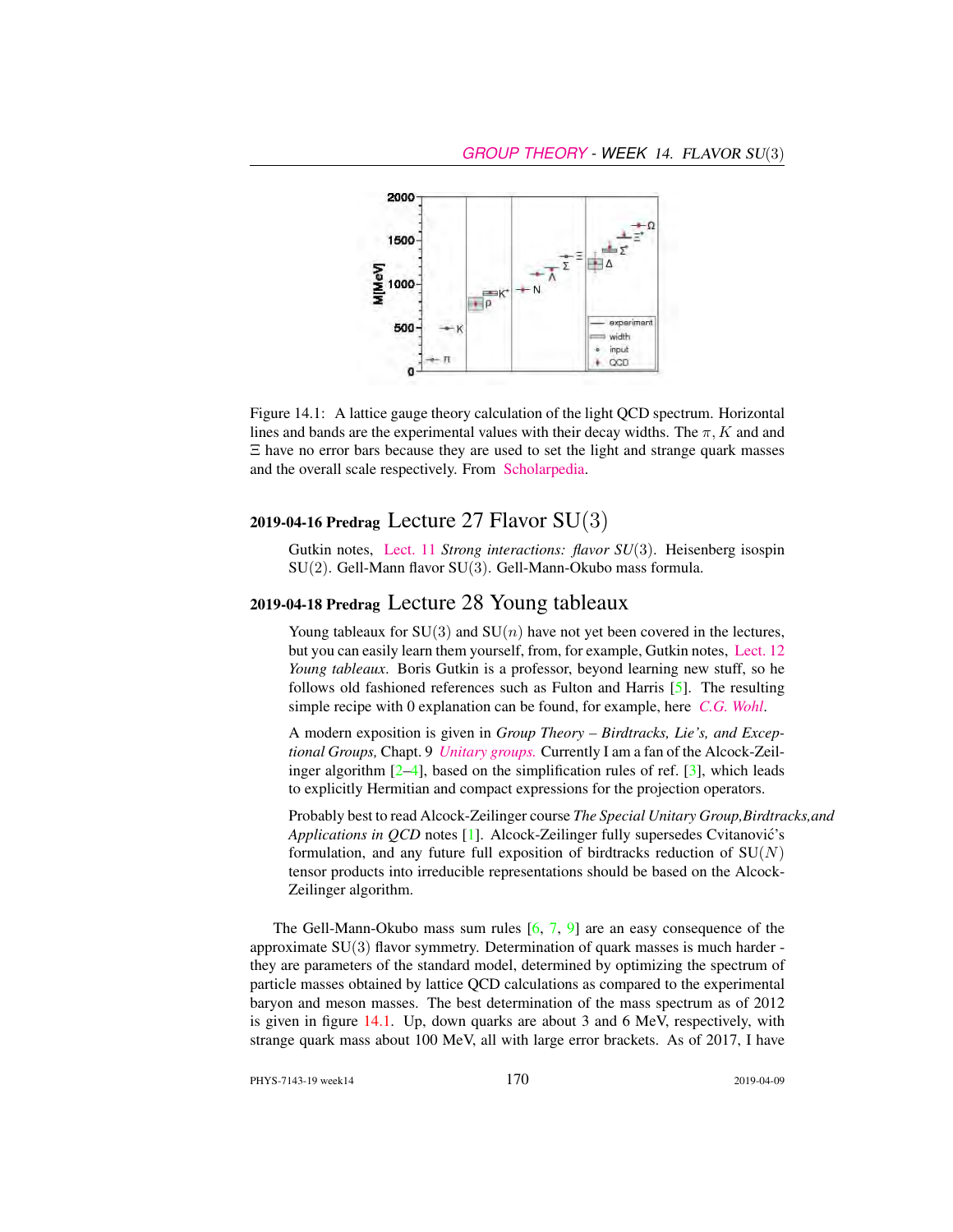

Figure 14.1: A lattice gauge theory calculation of the light QCD spectrum. Horizontal lines and bands are the experimental values with their decay widths. The  $\pi$ , K and and Ξ have no error bars because they are used to set the light and strange quark masses and the overall scale respectively. From [Scholarpedia.](http://www.scholarpedia.org/article/Lattice_gauge_theories)

#### 2019-04-16 Predrag Lecture 27 Flavor  $SU(3)$

Gutkin notes, [Lect. 11](http://birdtracks.eu/courses/PHYS-7143-19/groups.pdf) *Strong interactions: flavor SU*(3). Heisenberg isospin SU(2). Gell-Mann flavor SU(3). Gell-Mann-Okubo mass formula.

### 2019-04-18 Predrag Lecture 28 Young tableaux

Young tableaux for  $SU(3)$  and  $SU(n)$  have not yet been covered in the lectures, but you can easily learn them yourself, from, for example, Gutkin notes, [Lect. 12](http://birdtracks.eu/courses/PHYS-7143-19/groups.pdf) *Young tableaux*. Boris Gutkin is a professor, beyond learning new stuff, so he follows old fashioned references such as Fulton and Harris [5]. The resulting simple recipe with 0 explanation can be found, for example, here *[C.G. Wohl](http://pdg.lbl.gov/2010/reviews/rpp2010-rev-young-diagrams.pdf)*.

A modern exposition is given in *Group Theory – Birdtracks, Lie's, and Exceptional Groups,* Chapt. 9 *[Unitary groups.](http://birdtracks.eu/version9.0/GroupTheory.pdf)* Currently I am a fan of the Alcock-Zeilinger algorithm  $[2-4]$ , based on the simplification rules of ref.  $[3]$ , which leads to explicitly Hermitian and compact expressions for the projection operators.

Probably best to read Alcock-Zeilinger course *The Special Unitary Group,Birdtracks,and Applications in QCD* notes [1]. Alcock-Zeilinger fully supersedes Cvitanović's formulation, and any future full exposition of birdtracks reduction of  $SU(N)$ tensor products into irreducible representations should be based on the Alcock-Zeilinger algorithm.

The Gell-Mann-Okubo mass sum rules  $[6, 7, 9]$  are an easy consequence of the approximate SU(3) flavor symmetry. Determination of quark masses is much harder they are parameters of the standard model, determined by optimizing the spectrum of particle masses obtained by lattice QCD calculations as compared to the experimental baryon and meson masses. The best determination of the mass spectrum as of 2012 is given in figure 14.1. Up, down quarks are about 3 and 6 MeV, respectively, with strange quark mass about 100 MeV, all with large error brackets. As of 2017, I have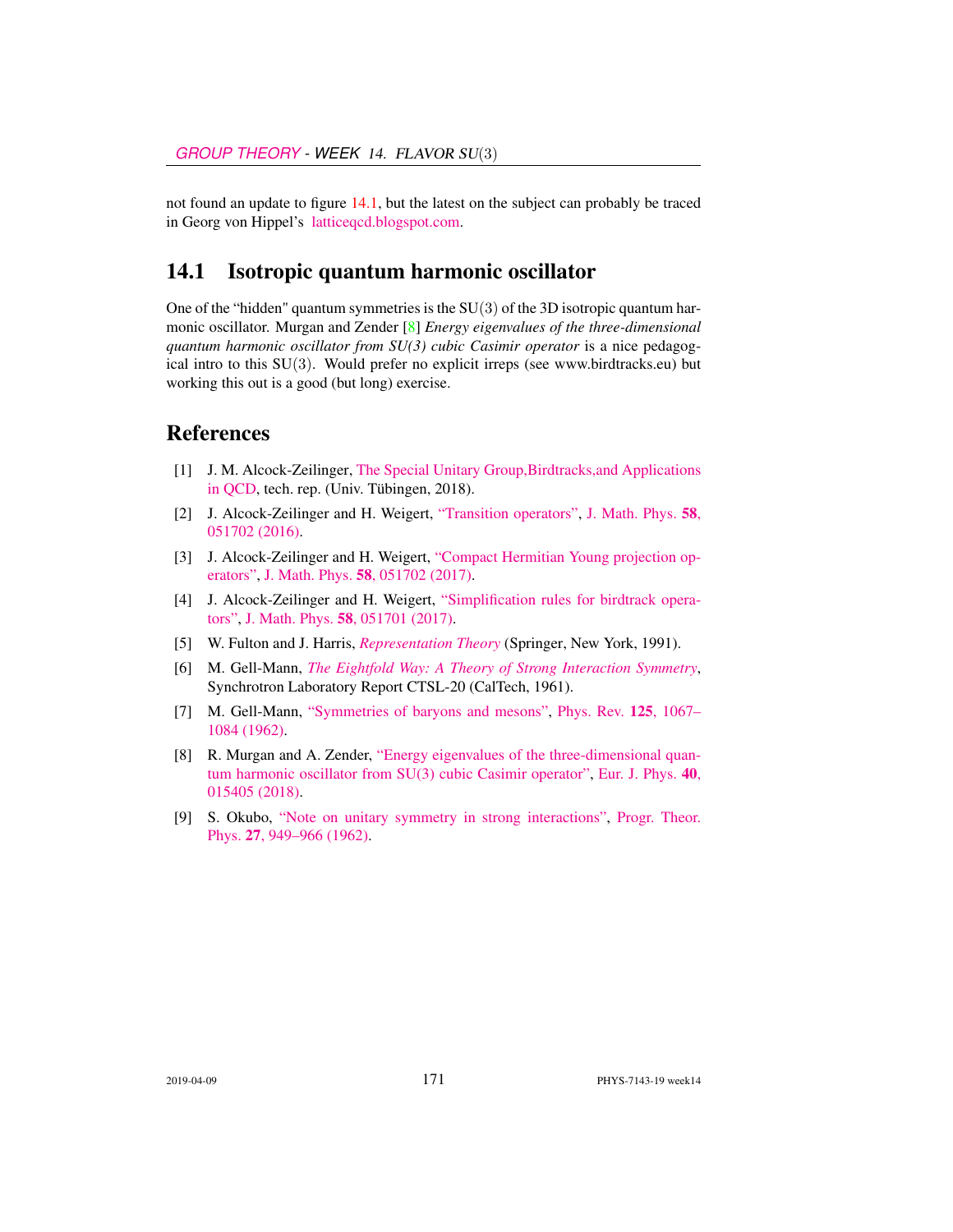not found an update to figure 14.1, but the latest on the subject can probably be traced in Georg von Hippel's [latticeqcd.blogspot.com.](http://latticeqcd.blogspot.com/)

#### 14.1 Isotropic quantum harmonic oscillator

One of the "hidden" quantum symmetries is the  $SU(3)$  of the 3D isotropic quantum harmonic oscillator. Murgan and Zender [8] *Energy eigenvalues of the three-dimensional quantum harmonic oscillator from SU(3) cubic Casimir operator* is a nice pedagogical intro to this  $SU(3)$ . Would prefer no explicit irreps (see www.birdtracks.eu) but working this out is a good (but long) exercise.

#### References

- [1] J. M. Alcock-Zeilinger, [The Special Unitary Group,Birdtracks,and Applications](https://www.math.uni-tuebingen.de/de/forschung/maphy/lehre/ss-2018/sun/dateien/birdtracks-sun-qcd-lecturenotes.pdf) [in QCD,](https://www.math.uni-tuebingen.de/de/forschung/maphy/lehre/ss-2018/sun/dateien/birdtracks-sun-qcd-lecturenotes.pdf) tech. rep. (Univ. Tübingen, 2018).
- [2] J. Alcock-Zeilinger and H. Weigert, ["Transition operators",](http://dx.doi.org/10.1063/1.4983478) [J. Math. Phys.](https://doi.org/10.1063/1.4983478) 58, [051702 \(2016\).](https://doi.org/10.1063/1.4983478)
- [3] J. Alcock-Zeilinger and H. Weigert, ["Compact Hermitian Young projection op](http://dx.doi.org/10.1063/1.4983478)[erators",](http://dx.doi.org/10.1063/1.4983478) J. Math. Phys. 58[, 051702 \(2017\).](https://doi.org/10.1063/1.4983478)
- [4] J. Alcock-Zeilinger and H. Weigert, ["Simplification rules for birdtrack opera](http://dx.doi.org/10.1063/1.4983477)[tors",](http://dx.doi.org/10.1063/1.4983477) J. Math. Phys. 58[, 051701 \(2017\).](https://doi.org/10.1063/1.4983477)
- [5] W. Fulton and J. Harris, *[Representation Theory](http://dx.doi.org/10.1007/978-1-4612-0979-9)* (Springer, New York, 1991).
- [6] M. Gell-Mann, *[The Eightfold Way: A Theory of Strong Interaction Symmetry](http://dx.doi.org/10.2172/4008239)*, Synchrotron Laboratory Report CTSL-20 (CalTech, 1961).
- [7] M. Gell-Mann, ["Symmetries of baryons and mesons",](http://dx.doi.org/10.1103/PhysRev.125.1067) [Phys. Rev.](https://doi.org/10.1103/PhysRev.125.1067) 125, 1067– [1084 \(1962\).](https://doi.org/10.1103/PhysRev.125.1067)
- [8] R. Murgan and A. Zender, ["Energy eigenvalues of the three-dimensional quan](http://dx.doi.org/10.1088/1361-6404/aaee38)[tum harmonic oscillator from SU\(3\) cubic Casimir operator",](http://dx.doi.org/10.1088/1361-6404/aaee38) [Eur. J. Phys.](https://doi.org/10.1088/1361-6404/aaee38) 40, [015405 \(2018\).](https://doi.org/10.1088/1361-6404/aaee38)
- [9] S. Okubo, ["Note on unitary symmetry in strong interactions",](http://dx.doi.org/10.1143/PTP.27.949) [Progr. Theor.](https://doi.org/10.1143/PTP.27.949) Phys. 27[, 949–966 \(1962\).](https://doi.org/10.1143/PTP.27.949)